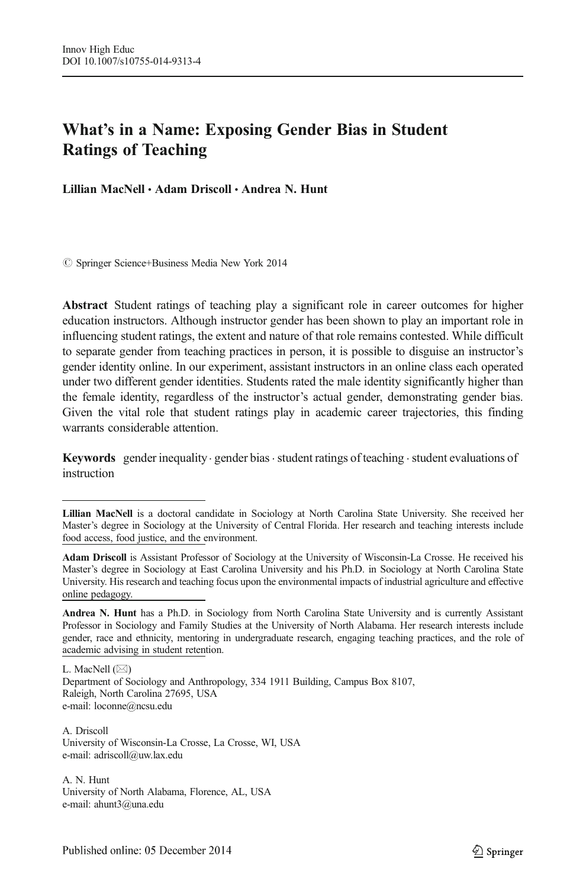# What's in a Name: Exposing Gender Bias in Student Ratings of Teaching

Lillian MacNell · Adam Driscoll · Andrea N. Hunt

 $\oslash$  Springer Science+Business Media New York 2014

Abstract Student ratings of teaching play a significant role in career outcomes for higher education instructors. Although instructor gender has been shown to play an important role in influencing student ratings, the extent and nature of that role remains contested. While difficult to separate gender from teaching practices in person, it is possible to disguise an instructor's gender identity online. In our experiment, assistant instructors in an online class each operated under two different gender identities. Students rated the male identity significantly higher than the female identity, regardless of the instructor's actual gender, demonstrating gender bias. Given the vital role that student ratings play in academic career trajectories, this finding warrants considerable attention.

Keywords gender inequality gender bias  $\cdot$  student ratings of teaching  $\cdot$  student evaluations of instruction

A. Driscoll University of Wisconsin-La Crosse, La Crosse, WI, USA e-mail: adriscoll@uw.lax.edu

A. N. Hunt University of North Alabama, Florence, AL, USA e-mail: ahunt3@una.edu

Lillian MacNell is a doctoral candidate in Sociology at North Carolina State University. She received her Master's degree in Sociology at the University of Central Florida. Her research and teaching interests include food access, food justice, and the environment.

Adam Driscoll is Assistant Professor of Sociology at the University of Wisconsin-La Crosse. He received his Master's degree in Sociology at East Carolina University and his Ph.D. in Sociology at North Carolina State University. His research and teaching focus upon the environmental impacts of industrial agriculture and effective online pedagogy.

Andrea N. Hunt has a Ph.D. in Sociology from North Carolina State University and is currently Assistant Professor in Sociology and Family Studies at the University of North Alabama. Her research interests include gender, race and ethnicity, mentoring in undergraduate research, engaging teaching practices, and the role of academic advising in student retention.

L. MacNell  $(\boxtimes)$ Department of Sociology and Anthropology, 334 1911 Building, Campus Box 8107, Raleigh, North Carolina 27695, USA e-mail: loconne@ncsu.edu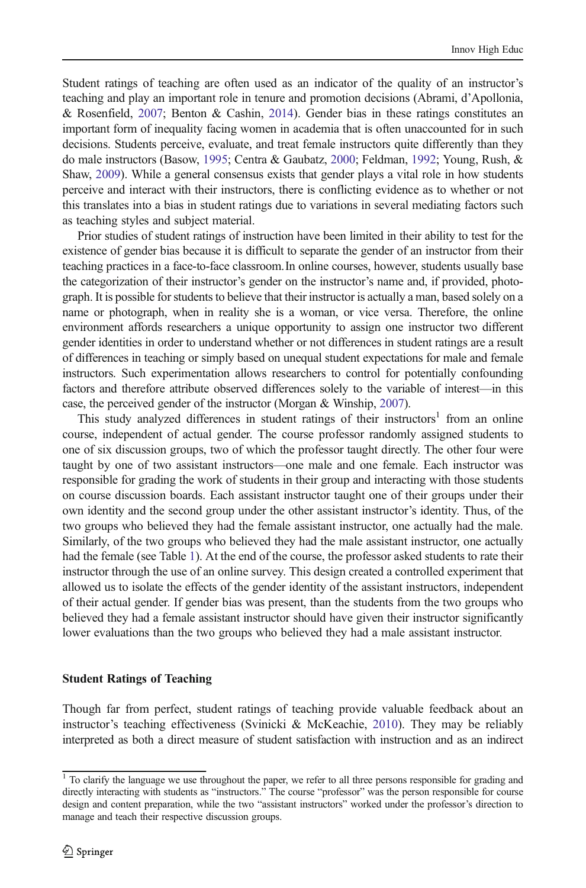Student ratings of teaching are often used as an indicator of the quality of an instructor's teaching and play an important role in tenure and promotion decisions (Abrami, d'Apollonia, & Rosenfield, [2007](#page-11-0); Benton & Cashin, [2014](#page-11-0)). Gender bias in these ratings constitutes an important form of inequality facing women in academia that is often unaccounted for in such decisions. Students perceive, evaluate, and treat female instructors quite differently than they do male instructors (Basow, [1995;](#page-11-0) Centra & Gaubatz, [2000;](#page-11-0) Feldman, [1992](#page-11-0); Young, Rush, & Shaw, [2009](#page-12-0)). While a general consensus exists that gender plays a vital role in how students perceive and interact with their instructors, there is conflicting evidence as to whether or not this translates into a bias in student ratings due to variations in several mediating factors such as teaching styles and subject material.

Prior studies of student ratings of instruction have been limited in their ability to test for the existence of gender bias because it is difficult to separate the gender of an instructor from their teaching practices in a face-to-face classroom.In online courses, however, students usually base the categorization of their instructor's gender on the instructor's name and, if provided, photograph. It is possible for students to believe that their instructor is actually a man, based solely on a name or photograph, when in reality she is a woman, or vice versa. Therefore, the online environment affords researchers a unique opportunity to assign one instructor two different gender identities in order to understand whether or not differences in student ratings are a result of differences in teaching or simply based on unequal student expectations for male and female instructors. Such experimentation allows researchers to control for potentially confounding factors and therefore attribute observed differences solely to the variable of interest—in this case, the perceived gender of the instructor (Morgan & Winship, [2007](#page-12-0)).

This study analyzed differences in student ratings of their instructors<sup>1</sup> from an online course, independent of actual gender. The course professor randomly assigned students to one of six discussion groups, two of which the professor taught directly. The other four were taught by one of two assistant instructors—one male and one female. Each instructor was responsible for grading the work of students in their group and interacting with those students on course discussion boards. Each assistant instructor taught one of their groups under their own identity and the second group under the other assistant instructor's identity. Thus, of the two groups who believed they had the female assistant instructor, one actually had the male. Similarly, of the two groups who believed they had the male assistant instructor, one actually had the female (see Table [1\)](#page-2-0). At the end of the course, the professor asked students to rate their instructor through the use of an online survey. This design created a controlled experiment that allowed us to isolate the effects of the gender identity of the assistant instructors, independent of their actual gender. If gender bias was present, than the students from the two groups who believed they had a female assistant instructor should have given their instructor significantly lower evaluations than the two groups who believed they had a male assistant instructor.

## Student Ratings of Teaching

Though far from perfect, student ratings of teaching provide valuable feedback about an instructor's teaching effectiveness (Svinicki & McKeachie, [2010](#page-12-0)). They may be reliably interpreted as both a direct measure of student satisfaction with instruction and as an indirect

 $1$  To clarify the language we use throughout the paper, we refer to all three persons responsible for grading and directly interacting with students as "instructors." The course "professor" was the person responsible for course design and content preparation, while the two "assistant instructors" worked under the professor's direction to manage and teach their respective discussion groups.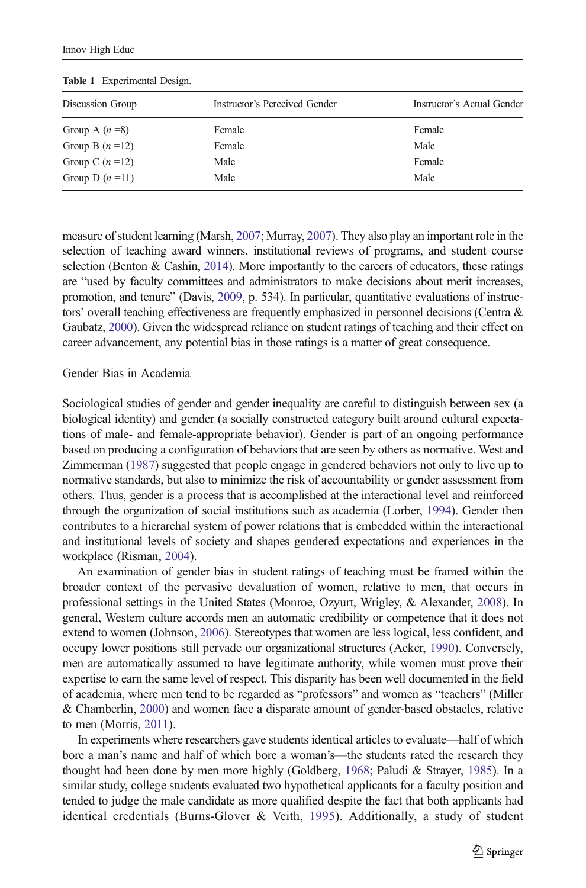| Instructor's Perceived Gender | Instructor's Actual Gender |  |
|-------------------------------|----------------------------|--|
| Female                        | Female                     |  |
| Female                        | Male                       |  |
| Male                          | Female                     |  |
| Male                          | Male                       |  |
|                               |                            |  |

<span id="page-2-0"></span>Table 1 Experimental Design.

measure of student learning (Marsh, [2007;](#page-12-0) Murray, [2007\)](#page-12-0). They also play an important role in the selection of teaching award winners, institutional reviews of programs, and student course selection (Benton  $\&$  Cashin, [2014](#page-11-0)). More importantly to the careers of educators, these ratings are "used by faculty committees and administrators to make decisions about merit increases, promotion, and tenure" (Davis, [2009,](#page-11-0) p. 534). In particular, quantitative evaluations of instructors' overall teaching effectiveness are frequently emphasized in personnel decisions (Centra & Gaubatz, [2000\)](#page-11-0). Given the widespread reliance on student ratings of teaching and their effect on career advancement, any potential bias in those ratings is a matter of great consequence.

## Gender Bias in Academia

Sociological studies of gender and gender inequality are careful to distinguish between sex (a biological identity) and gender (a socially constructed category built around cultural expectations of male- and female-appropriate behavior). Gender is part of an ongoing performance based on producing a configuration of behaviors that are seen by others as normative. West and Zimmerman ([1987](#page-12-0)) suggested that people engage in gendered behaviors not only to live up to normative standards, but also to minimize the risk of accountability or gender assessment from others. Thus, gender is a process that is accomplished at the interactional level and reinforced through the organization of social institutions such as academia (Lorber, [1994\)](#page-12-0). Gender then contributes to a hierarchal system of power relations that is embedded within the interactional and institutional levels of society and shapes gendered expectations and experiences in the workplace (Risman, [2004](#page-12-0)).

An examination of gender bias in student ratings of teaching must be framed within the broader context of the pervasive devaluation of women, relative to men, that occurs in professional settings in the United States (Monroe, Ozyurt, Wrigley, & Alexander, [2008\)](#page-12-0). In general, Western culture accords men an automatic credibility or competence that it does not extend to women (Johnson, [2006](#page-11-0)). Stereotypes that women are less logical, less confident, and occupy lower positions still pervade our organizational structures (Acker, [1990\)](#page-11-0). Conversely, men are automatically assumed to have legitimate authority, while women must prove their expertise to earn the same level of respect. This disparity has been well documented in the field of academia, where men tend to be regarded as "professors" and women as "teachers" (Miller & Chamberlin, [2000](#page-12-0)) and women face a disparate amount of gender-based obstacles, relative to men (Morris, [2011\)](#page-12-0).

In experiments where researchers gave students identical articles to evaluate—half of which bore a man's name and half of which bore a woman's—the students rated the research they thought had been done by men more highly (Goldberg, [1968](#page-11-0); Paludi & Strayer, [1985](#page-12-0)). In a similar study, college students evaluated two hypothetical applicants for a faculty position and tended to judge the male candidate as more qualified despite the fact that both applicants had identical credentials (Burns-Glover & Veith, [1995\)](#page-11-0). Additionally, a study of student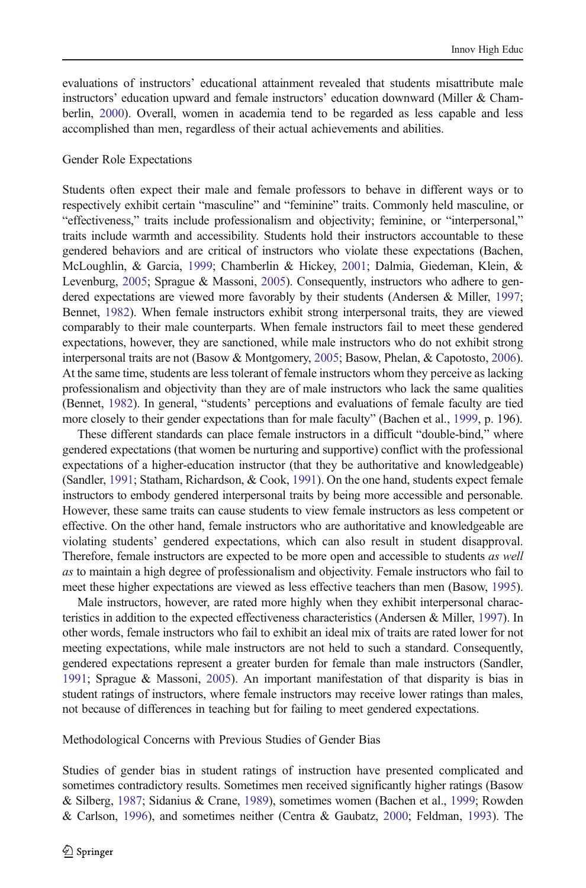evaluations of instructors' educational attainment revealed that students misattribute male instructors' education upward and female instructors' education downward (Miller & Chamberlin, [2000](#page-12-0)). Overall, women in academia tend to be regarded as less capable and less accomplished than men, regardless of their actual achievements and abilities.

## Gender Role Expectations

Students often expect their male and female professors to behave in different ways or to respectively exhibit certain "masculine" and "feminine" traits. Commonly held masculine, or "effectiveness," traits include professionalism and objectivity; feminine, or "interpersonal," traits include warmth and accessibility. Students hold their instructors accountable to these gendered behaviors and are critical of instructors who violate these expectations (Bachen, McLoughlin, & Garcia, [1999](#page-11-0); Chamberlin & Hickey, [2001](#page-11-0); Dalmia, Giedeman, Klein, & Levenburg, [2005](#page-12-0); Sprague & Massoni, 2005). Consequently, instructors who adhere to gendered expectations are viewed more favorably by their students (Andersen & Miller, [1997](#page-11-0); Bennet, [1982](#page-11-0)). When female instructors exhibit strong interpersonal traits, they are viewed comparably to their male counterparts. When female instructors fail to meet these gendered expectations, however, they are sanctioned, while male instructors who do not exhibit strong interpersonal traits are not (Basow & Montgomery, [2005](#page-11-0); Basow, Phelan, & Capotosto, [2006](#page-11-0)). At the same time, students are less tolerant of female instructors whom they perceive as lacking professionalism and objectivity than they are of male instructors who lack the same qualities (Bennet, [1982\)](#page-11-0). In general, "students' perceptions and evaluations of female faculty are tied more closely to their gender expectations than for male faculty" (Bachen et al., [1999,](#page-11-0) p. 196).

These different standards can place female instructors in a difficult "double-bind," where gendered expectations (that women be nurturing and supportive) conflict with the professional expectations of a higher-education instructor (that they be authoritative and knowledgeable) (Sandler, [1991](#page-12-0); Statham, Richardson, & Cook, [1991\)](#page-12-0). On the one hand, students expect female instructors to embody gendered interpersonal traits by being more accessible and personable. However, these same traits can cause students to view female instructors as less competent or effective. On the other hand, female instructors who are authoritative and knowledgeable are violating students' gendered expectations, which can also result in student disapproval. Therefore, female instructors are expected to be more open and accessible to students as well as to maintain a high degree of professionalism and objectivity. Female instructors who fail to meet these higher expectations are viewed as less effective teachers than men (Basow, [1995](#page-11-0)).

Male instructors, however, are rated more highly when they exhibit interpersonal characteristics in addition to the expected effectiveness characteristics (Andersen & Miller, [1997](#page-11-0)). In other words, female instructors who fail to exhibit an ideal mix of traits are rated lower for not meeting expectations, while male instructors are not held to such a standard. Consequently, gendered expectations represent a greater burden for female than male instructors (Sandler, [1991](#page-12-0); Sprague & Massoni, [2005](#page-12-0)). An important manifestation of that disparity is bias in student ratings of instructors, where female instructors may receive lower ratings than males, not because of differences in teaching but for failing to meet gendered expectations.

Methodological Concerns with Previous Studies of Gender Bias

Studies of gender bias in student ratings of instruction have presented complicated and sometimes contradictory results. Sometimes men received significantly higher ratings (Basow & Silberg, [1987;](#page-11-0) Sidanius & Crane, [1989\)](#page-12-0), sometimes women (Bachen et al., [1999](#page-11-0); Rowden & Carlson, [1996\)](#page-12-0), and sometimes neither (Centra & Gaubatz, [2000](#page-11-0); Feldman, [1993](#page-11-0)). The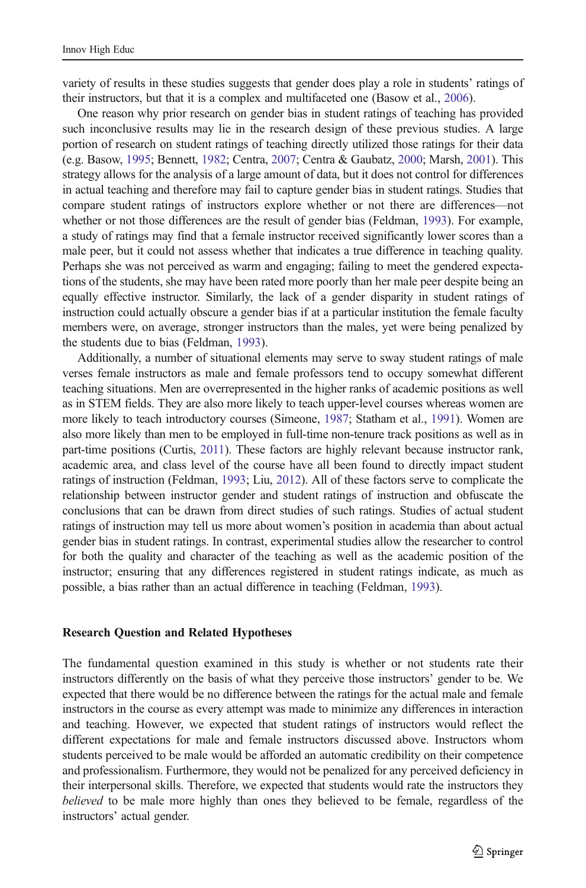variety of results in these studies suggests that gender does play a role in students' ratings of their instructors, but that it is a complex and multifaceted one (Basow et al., [2006\)](#page-11-0).

One reason why prior research on gender bias in student ratings of teaching has provided such inconclusive results may lie in the research design of these previous studies. A large portion of research on student ratings of teaching directly utilized those ratings for their data (e.g. Basow, [1995](#page-11-0); Bennett, [1982;](#page-11-0) Centra, [2007](#page-11-0); Centra & Gaubatz, [2000](#page-11-0); Marsh, [2001\)](#page-12-0). This strategy allows for the analysis of a large amount of data, but it does not control for differences in actual teaching and therefore may fail to capture gender bias in student ratings. Studies that compare student ratings of instructors explore whether or not there are differences—not whether or not those differences are the result of gender bias (Feldman, [1993](#page-11-0)). For example, a study of ratings may find that a female instructor received significantly lower scores than a male peer, but it could not assess whether that indicates a true difference in teaching quality. Perhaps she was not perceived as warm and engaging; failing to meet the gendered expectations of the students, she may have been rated more poorly than her male peer despite being an equally effective instructor. Similarly, the lack of a gender disparity in student ratings of instruction could actually obscure a gender bias if at a particular institution the female faculty members were, on average, stronger instructors than the males, yet were being penalized by the students due to bias (Feldman, [1993\)](#page-11-0).

Additionally, a number of situational elements may serve to sway student ratings of male verses female instructors as male and female professors tend to occupy somewhat different teaching situations. Men are overrepresented in the higher ranks of academic positions as well as in STEM fields. They are also more likely to teach upper-level courses whereas women are more likely to teach introductory courses (Simeone, [1987;](#page-12-0) Statham et al., [1991\)](#page-12-0). Women are also more likely than men to be employed in full-time non-tenure track positions as well as in part-time positions (Curtis, [2011\)](#page-11-0). These factors are highly relevant because instructor rank, academic area, and class level of the course have all been found to directly impact student ratings of instruction (Feldman, [1993;](#page-11-0) Liu, [2012\)](#page-12-0). All of these factors serve to complicate the relationship between instructor gender and student ratings of instruction and obfuscate the conclusions that can be drawn from direct studies of such ratings. Studies of actual student ratings of instruction may tell us more about women's position in academia than about actual gender bias in student ratings. In contrast, experimental studies allow the researcher to control for both the quality and character of the teaching as well as the academic position of the instructor; ensuring that any differences registered in student ratings indicate, as much as possible, a bias rather than an actual difference in teaching (Feldman, [1993\)](#page-11-0).

## Research Question and Related Hypotheses

The fundamental question examined in this study is whether or not students rate their instructors differently on the basis of what they perceive those instructors' gender to be. We expected that there would be no difference between the ratings for the actual male and female instructors in the course as every attempt was made to minimize any differences in interaction and teaching. However, we expected that student ratings of instructors would reflect the different expectations for male and female instructors discussed above. Instructors whom students perceived to be male would be afforded an automatic credibility on their competence and professionalism. Furthermore, they would not be penalized for any perceived deficiency in their interpersonal skills. Therefore, we expected that students would rate the instructors they believed to be male more highly than ones they believed to be female, regardless of the instructors' actual gender.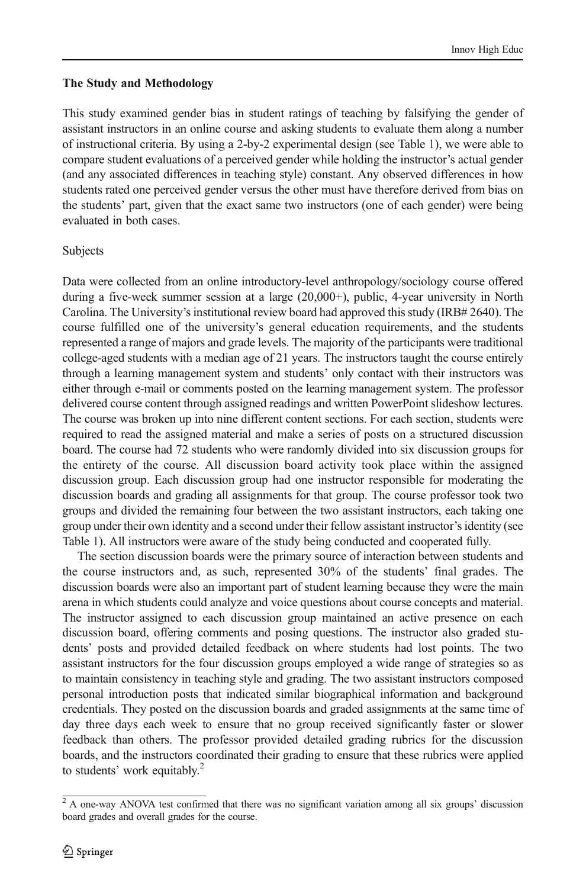# The Study and Methodology

This study examined gender bias in student ratings of teaching by falsifying the gender of assistant instructors in an online course and asking students to evaluate them along a number of instructional criteria. By using a 2-by-2 experimental design (see Table [1](#page-2-0)), we were able to compare student evaluations of a perceived gender while holding the instructor's actual gender (and any associated differences in teaching style) constant. Any observed differences in how students rated one perceived gender versus the other must have therefore derived from bias on the students' part, given that the exact same two instructors (one of each gender) were being evaluated in both cases.

# Subjects

Data were collected from an online introductory-level anthropology/sociology course offered during a five-week summer session at a large (20,000+), public, 4-year university in North Carolina. The University's institutional review board had approved this study (IRB# 2640). The course fulfilled one of the university's general education requirements, and the students represented a range of majors and grade levels. The majority of the participants were traditional college-aged students with a median age of 21 years. The instructors taught the course entirely through a learning management system and students' only contact with their instructors was either through e-mail or comments posted on the learning management system. The professor delivered course content through assigned readings and written PowerPoint slideshow lectures. The course was broken up into nine different content sections. For each section, students were required to read the assigned material and make a series of posts on a structured discussion board. The course had 72 students who were randomly divided into six discussion groups for the entirety of the course. All discussion board activity took place within the assigned discussion group. Each discussion group had one instructor responsible for moderating the discussion boards and grading all assignments for that group. The course professor took two groups and divided the remaining four between the two assistant instructors, each taking one group under their own identity and a second under their fellow assistant instructor's identity (see Table [1](#page-2-0)). All instructors were aware of the study being conducted and cooperated fully.

The section discussion boards were the primary source of interaction between students and the course instructors and, as such, represented 30% of the students' final grades. The discussion boards were also an important part of student learning because they were the main arena in which students could analyze and voice questions about course concepts and material. The instructor assigned to each discussion group maintained an active presence on each discussion board, offering comments and posing questions. The instructor also graded students' posts and provided detailed feedback on where students had lost points. The two assistant instructors for the four discussion groups employed a wide range of strategies so as to maintain consistency in teaching style and grading. The two assistant instructors composed personal introduction posts that indicated similar biographical information and background credentials. They posted on the discussion boards and graded assignments at the same time of day three days each week to ensure that no group received significantly faster or slower feedback than others. The professor provided detailed grading rubrics for the discussion boards, and the instructors coordinated their grading to ensure that these rubrics were applied to students' work equitably. $\frac{2}{x}$ 

 $2 A$  one-way ANOVA test confirmed that there was no significant variation among all six groups' discussion board grades and overall grades for the course.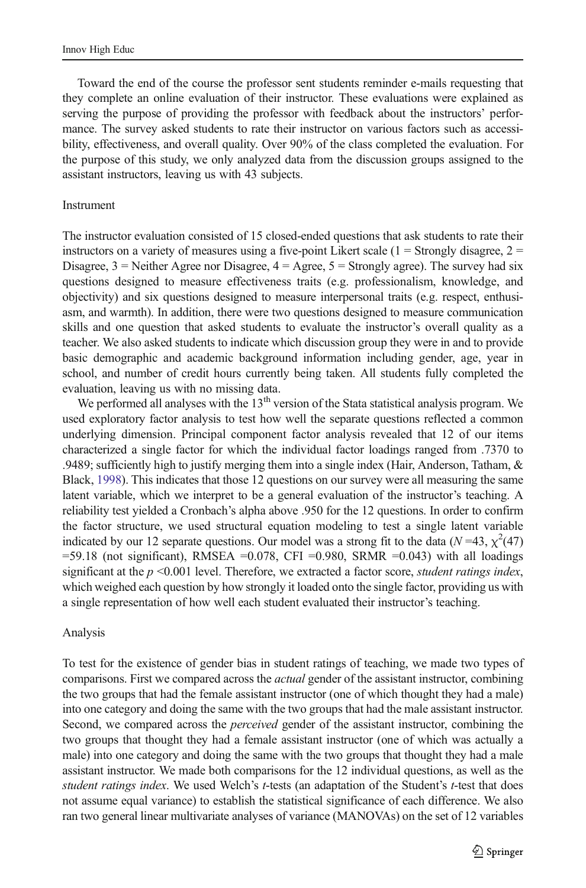Toward the end of the course the professor sent students reminder e-mails requesting that they complete an online evaluation of their instructor. These evaluations were explained as serving the purpose of providing the professor with feedback about the instructors' performance. The survey asked students to rate their instructor on various factors such as accessibility, effectiveness, and overall quality. Over 90% of the class completed the evaluation. For the purpose of this study, we only analyzed data from the discussion groups assigned to the assistant instructors, leaving us with 43 subjects.

## Instrument

The instructor evaluation consisted of 15 closed-ended questions that ask students to rate their instructors on a variety of measures using a five-point Likert scale  $(1 = \text{Strongly disagree}, 2 =$ Disagree,  $3$  = Neither Agree nor Disagree,  $4$  = Agree,  $5$  = Strongly agree). The survey had six questions designed to measure effectiveness traits (e.g. professionalism, knowledge, and objectivity) and six questions designed to measure interpersonal traits (e.g. respect, enthusiasm, and warmth). In addition, there were two questions designed to measure communication skills and one question that asked students to evaluate the instructor's overall quality as a teacher. We also asked students to indicate which discussion group they were in and to provide basic demographic and academic background information including gender, age, year in school, and number of credit hours currently being taken. All students fully completed the evaluation, leaving us with no missing data.

We performed all analyses with the  $13<sup>th</sup>$  version of the Stata statistical analysis program. We used exploratory factor analysis to test how well the separate questions reflected a common underlying dimension. Principal component factor analysis revealed that 12 of our items characterized a single factor for which the individual factor loadings ranged from .7370 to .9489; sufficiently high to justify merging them into a single index (Hair, Anderson, Tatham, & Black, [1998](#page-11-0)). This indicates that those 12 questions on our survey were all measuring the same latent variable, which we interpret to be a general evaluation of the instructor's teaching. A reliability test yielded a Cronbach's alpha above .950 for the 12 questions. In order to confirm the factor structure, we used structural equation modeling to test a single latent variable indicated by our 12 separate questions. Our model was a strong fit to the data ( $N=43$ ,  $\chi^2(47)$ )  $=$  59.18 (not significant), RMSEA  $=$  0.078, CFI  $=$  0.980, SRMR  $=$  0.043) with all loadings significant at the  $p \le 0.001$  level. Therefore, we extracted a factor score, *student ratings index*, which weighed each question by how strongly it loaded onto the single factor, providing us with a single representation of how well each student evaluated their instructor's teaching.

## Analysis

To test for the existence of gender bias in student ratings of teaching, we made two types of comparisons. First we compared across the *actual* gender of the assistant instructor, combining the two groups that had the female assistant instructor (one of which thought they had a male) into one category and doing the same with the two groups that had the male assistant instructor. Second, we compared across the perceived gender of the assistant instructor, combining the two groups that thought they had a female assistant instructor (one of which was actually a male) into one category and doing the same with the two groups that thought they had a male assistant instructor. We made both comparisons for the 12 individual questions, as well as the student ratings index. We used Welch's t-tests (an adaptation of the Student's t-test that does not assume equal variance) to establish the statistical significance of each difference. We also ran two general linear multivariate analyses of variance (MANOVAs) on the set of 12 variables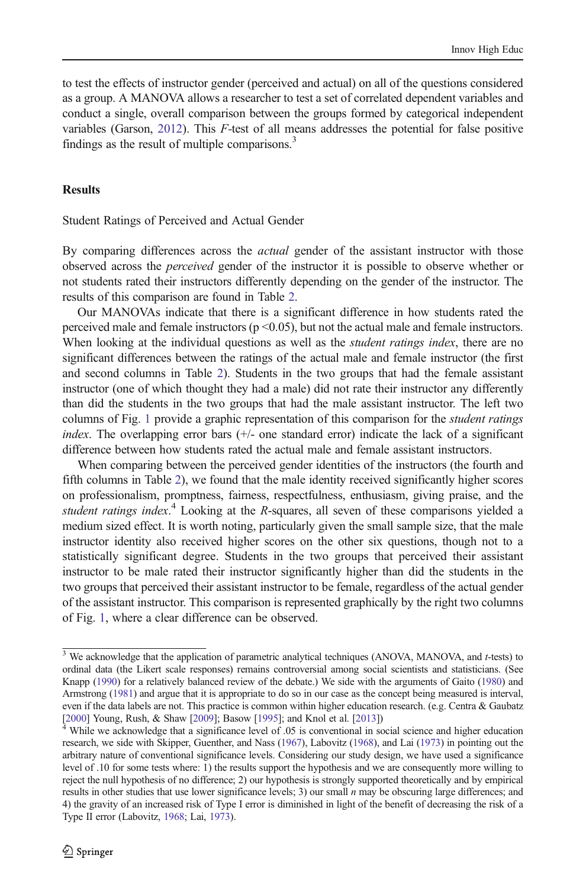to test the effects of instructor gender (perceived and actual) on all of the questions considered as a group. A MANOVA allows a researcher to test a set of correlated dependent variables and conduct a single, overall comparison between the groups formed by categorical independent variables (Garson, [2012\)](#page-11-0). This  $F$ -test of all means addresses the potential for false positive findings as the result of multiple comparisons. $3$ 

## **Results**

#### Student Ratings of Perceived and Actual Gender

By comparing differences across the *actual* gender of the assistant instructor with those observed across the perceived gender of the instructor it is possible to observe whether or not students rated their instructors differently depending on the gender of the instructor. The results of this comparison are found in Table [2.](#page-8-0)

Our MANOVAs indicate that there is a significant difference in how students rated the perceived male and female instructors ( $p \le 0.05$ ), but not the actual male and female instructors. When looking at the individual questions as well as the *student ratings index*, there are no significant differences between the ratings of the actual male and female instructor (the first and second columns in Table [2](#page-8-0)). Students in the two groups that had the female assistant instructor (one of which thought they had a male) did not rate their instructor any differently than did the students in the two groups that had the male assistant instructor. The left two columns of Fig. [1](#page-8-0) provide a graphic representation of this comparison for the *student ratings index*. The overlapping error bars  $(+/-$  one standard error) indicate the lack of a significant difference between how students rated the actual male and female assistant instructors.

When comparing between the perceived gender identities of the instructors (the fourth and fifth columns in Table [2\)](#page-8-0), we found that the male identity received significantly higher scores on professionalism, promptness, fairness, respectfulness, enthusiasm, giving praise, and the student ratings index.<sup>4</sup> Looking at the R-squares, all seven of these comparisons yielded a medium sized effect. It is worth noting, particularly given the small sample size, that the male instructor identity also received higher scores on the other six questions, though not to a statistically significant degree. Students in the two groups that perceived their assistant instructor to be male rated their instructor significantly higher than did the students in the two groups that perceived their assistant instructor to be female, regardless of the actual gender of the assistant instructor. This comparison is represented graphically by the right two columns of Fig. [1](#page-8-0), where a clear difference can be observed.

<sup>&</sup>lt;sup>3</sup> We acknowledge that the application of parametric analytical techniques (ANOVA, MANOVA, and t-tests) to ordinal data (the Likert scale responses) remains controversial among social scientists and statisticians. (See Knapp [\(1990\)](#page-11-0) for a relatively balanced review of the debate.) We side with the arguments of Gaito [\(1980](#page-11-0)) and Armstrong ([1981](#page-11-0)) and argue that it is appropriate to do so in our case as the concept being measured is interval, even if the data labels are not. This practice is common within higher education research. (e.g. Centra & Gaubatz [\[2000\]](#page-11-0) Young, Rush, & Shaw [[2009](#page-12-0)]; Basow [\[1995\]](#page-11-0); and Knol et al. [[2013](#page-12-0)]) 4 While we acknowledge that a significance level of .05 is conventional in social science and higher education

research, we side with Skipper, Guenther, and Nass ([1967](#page-12-0)), Labovitz ([1968](#page-12-0)), and Lai [\(1973\)](#page-12-0) in pointing out the arbitrary nature of conventional significance levels. Considering our study design, we have used a significance level of .10 for some tests where: 1) the results support the hypothesis and we are consequently more willing to reject the null hypothesis of no difference; 2) our hypothesis is strongly supported theoretically and by empirical results in other studies that use lower significance levels; 3) our small  $n$  may be obscuring large differences; and 4) the gravity of an increased risk of Type I error is diminished in light of the benefit of decreasing the risk of a Type II error (Labovitz, [1968](#page-12-0); Lai, [1973\)](#page-12-0).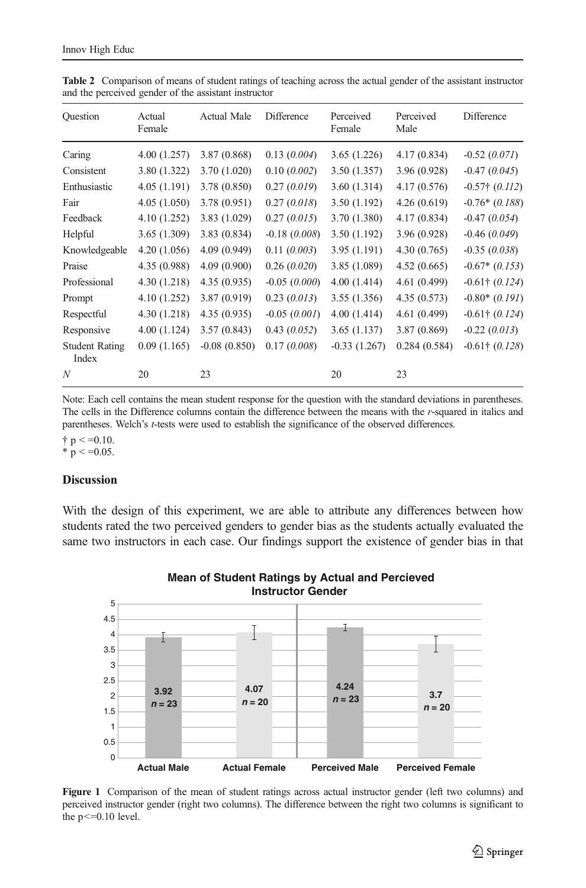| Question                       | Actual<br>Female | <b>Actual Male</b> | Difference        | Perceived<br>Female | Perceived<br>Male | Difference              |
|--------------------------------|------------------|--------------------|-------------------|---------------------|-------------------|-------------------------|
| Caring                         | 4.00(1.257)      | 3.87 (0.868)       | 0.13(0.004)       | 3.65(1.226)         | 4.17(0.834)       | $-0.52(0.071)$          |
| Consistent                     | 3.80 (1.322)     | 3.70(1.020)        | 0.10(0.002)       | 3.50(1.357)         | 3.96 (0.928)      | $-0.47(0.045)$          |
| Enthusiastic                   | 4.05(1.191)      | 3.78 (0.850)       | 0.27(0.019)       | 3.60(1.314)         | 4.17(0.576)       | $-0.57$ † $(0.112)$     |
| Fair                           | 4.05(1.050)      | 3.78(0.951)        | 0.27(0.018)       | 3.50(1.192)         | 4.26(0.619)       | $-0.76*(0.188)$         |
| Feedback                       | 4.10(1.252)      | 3.83(1.029)        | 0.27(0.015)       | 3.70 (1.380)        | 4.17(0.834)       | $-0.47(0.054)$          |
| Helpful                        | 3.65(1.309)      | 3.83(0.834)        | $-0.18$ $(0.008)$ | 3.50(1.192)         | 3.96 (0.928)      | $-0.46$ $(0.049)$       |
| Knowledgeable                  | 4.20(1.056)      | 4.09(0.949)        | 0.11(0.003)       | 3.95(1.191)         | 4.30(0.765)       | $-0.35(0.038)$          |
| Praise                         | 4.35 (0.988)     | 4.09(0.900)        | 0.26(0.020)       | 3.85(1.089)         | 4.52(0.665)       | $-0.67*(0.153)$         |
| Professional                   | 4.30(1.218)      | 4.35(0.935)        | $-0.05(0.000)$    | 4.00(1.414)         | 4.61 (0.499)      | $-0.61 \dagger (0.124)$ |
| Prompt                         | 4.10(1.252)      | 3.87 (0.919)       | 0.23(0.013)       | 3.55(1.356)         | 4.35(0.573)       | $-0.80*(0.191)$         |
| Respectful                     | 4.30(1.218)      | 4.35(0.935)        | $-0.05(0.001)$    | 4.00(1.414)         | 4.61 (0.499)      | $-0.61$ † $(0.124)$     |
| Responsive                     | 4.00(1.124)      | 3.57(0.843)        | 0.43(0.052)       | 3.65(1.137)         | 3.87 (0.869)      | $-0.22(0.013)$          |
| <b>Student Rating</b><br>Index | 0.09(1.165)      | $-0.08(0.850)$     | 0.17(0.008)       | $-0.33(1.267)$      | 0.284(0.584)      | $-0.61 \dagger (0.128)$ |
| N                              | 20               | 23                 |                   | 20                  | 23                |                         |

<span id="page-8-0"></span>Table 2 Comparison of means of student ratings of teaching across the actual gender of the assistant instructor and the perceived gender of the assistant instructor

Note: Each cell contains the mean student response for the question with the standard deviations in parentheses. The cells in the Difference columns contain the difference between the means with the r-squared in italics and parentheses. Welch's t-tests were used to establish the significance of the observed differences.

 $\dagger$  p < = 0.10.

 $*$  p < = 0.05.

## **Discussion**

With the design of this experiment, we are able to attribute any differences between how students rated the two perceived genders to gender bias as the students actually evaluated the same two instructors in each case. Our findings support the existence of gender bias in that



Figure 1 Comparison of the mean of student ratings across actual instructor gender (left two columns) and perceived instructor gender (right two columns). The difference between the right two columns is significant to the  $p \le 0.10$  level.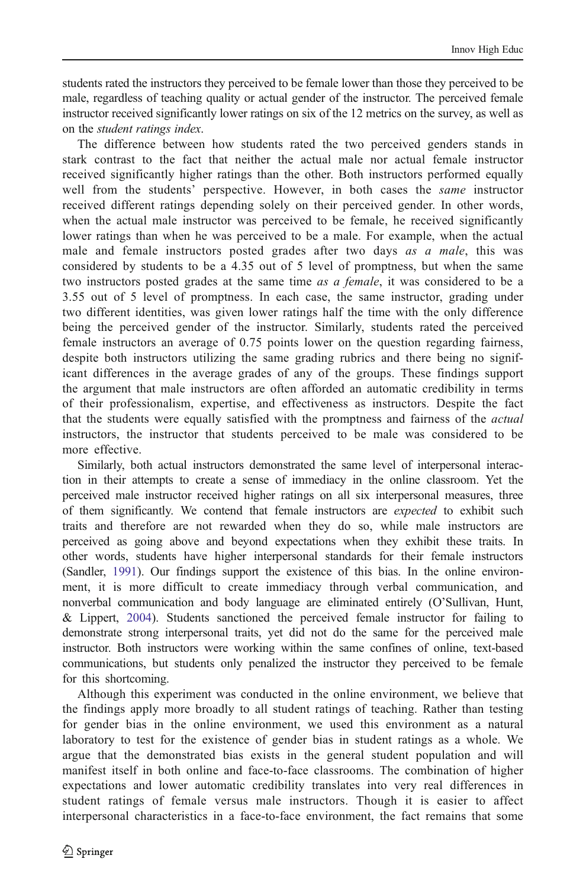students rated the instructors they perceived to be female lower than those they perceived to be male, regardless of teaching quality or actual gender of the instructor. The perceived female instructor received significantly lower ratings on six of the 12 metrics on the survey, as well as on the student ratings index.

The difference between how students rated the two perceived genders stands in stark contrast to the fact that neither the actual male nor actual female instructor received significantly higher ratings than the other. Both instructors performed equally well from the students' perspective. However, in both cases the *same* instructor received different ratings depending solely on their perceived gender. In other words, when the actual male instructor was perceived to be female, he received significantly lower ratings than when he was perceived to be a male. For example, when the actual male and female instructors posted grades after two days as a male, this was considered by students to be a 4.35 out of 5 level of promptness, but when the same two instructors posted grades at the same time *as a female*, it was considered to be a 3.55 out of 5 level of promptness. In each case, the same instructor, grading under two different identities, was given lower ratings half the time with the only difference being the perceived gender of the instructor. Similarly, students rated the perceived female instructors an average of 0.75 points lower on the question regarding fairness, despite both instructors utilizing the same grading rubrics and there being no significant differences in the average grades of any of the groups. These findings support the argument that male instructors are often afforded an automatic credibility in terms of their professionalism, expertise, and effectiveness as instructors. Despite the fact that the students were equally satisfied with the promptness and fairness of the *actual* instructors, the instructor that students perceived to be male was considered to be more effective.

Similarly, both actual instructors demonstrated the same level of interpersonal interaction in their attempts to create a sense of immediacy in the online classroom. Yet the perceived male instructor received higher ratings on all six interpersonal measures, three of them significantly. We contend that female instructors are *expected* to exhibit such traits and therefore are not rewarded when they do so, while male instructors are perceived as going above and beyond expectations when they exhibit these traits. In other words, students have higher interpersonal standards for their female instructors (Sandler, [1991\)](#page-12-0). Our findings support the existence of this bias. In the online environment, it is more difficult to create immediacy through verbal communication, and nonverbal communication and body language are eliminated entirely (O'Sullivan, Hunt, & Lippert, [2004\)](#page-12-0). Students sanctioned the perceived female instructor for failing to demonstrate strong interpersonal traits, yet did not do the same for the perceived male instructor. Both instructors were working within the same confines of online, text-based communications, but students only penalized the instructor they perceived to be female for this shortcoming.

Although this experiment was conducted in the online environment, we believe that the findings apply more broadly to all student ratings of teaching. Rather than testing for gender bias in the online environment, we used this environment as a natural laboratory to test for the existence of gender bias in student ratings as a whole. We argue that the demonstrated bias exists in the general student population and will manifest itself in both online and face-to-face classrooms. The combination of higher expectations and lower automatic credibility translates into very real differences in student ratings of female versus male instructors. Though it is easier to affect interpersonal characteristics in a face-to-face environment, the fact remains that some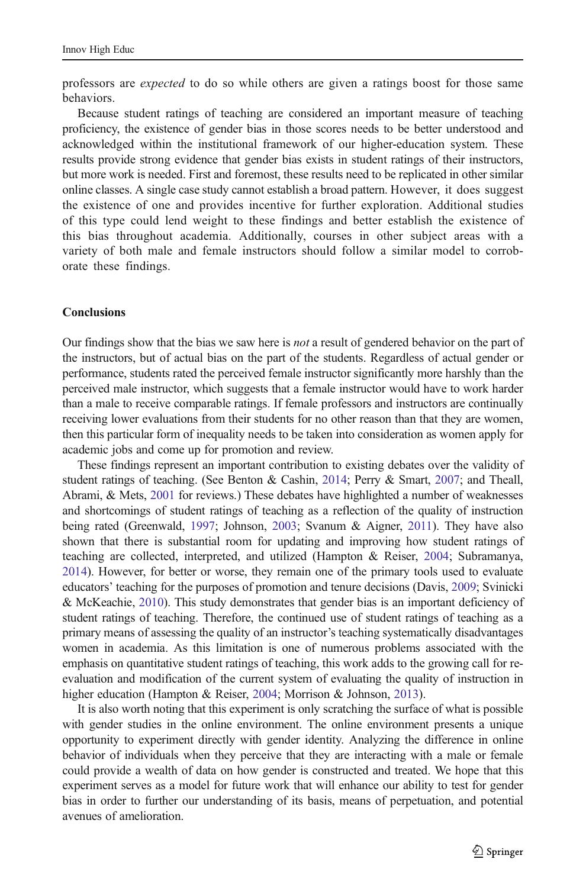professors are expected to do so while others are given a ratings boost for those same behaviors.

Because student ratings of teaching are considered an important measure of teaching proficiency, the existence of gender bias in those scores needs to be better understood and acknowledged within the institutional framework of our higher-education system. These results provide strong evidence that gender bias exists in student ratings of their instructors, but more work is needed. First and foremost, these results need to be replicated in other similar online classes. A single case study cannot establish a broad pattern. However, it does suggest the existence of one and provides incentive for further exploration. Additional studies of this type could lend weight to these findings and better establish the existence of this bias throughout academia. Additionally, courses in other subject areas with a variety of both male and female instructors should follow a similar model to corroborate these findings.

### Conclusions

Our findings show that the bias we saw here is *not* a result of gendered behavior on the part of the instructors, but of actual bias on the part of the students. Regardless of actual gender or performance, students rated the perceived female instructor significantly more harshly than the perceived male instructor, which suggests that a female instructor would have to work harder than a male to receive comparable ratings. If female professors and instructors are continually receiving lower evaluations from their students for no other reason than that they are women, then this particular form of inequality needs to be taken into consideration as women apply for academic jobs and come up for promotion and review.

These findings represent an important contribution to existing debates over the validity of student ratings of teaching. (See Benton & Cashin, [2014](#page-11-0); Perry & Smart, [2007;](#page-12-0) and Theall, Abrami, & Mets, [2001](#page-12-0) for reviews.) These debates have highlighted a number of weaknesses and shortcomings of student ratings of teaching as a reflection of the quality of instruction being rated (Greenwald, [1997](#page-11-0); Johnson, [2003;](#page-11-0) Svanum & Aigner, [2011](#page-12-0)). They have also shown that there is substantial room for updating and improving how student ratings of teaching are collected, interpreted, and utilized (Hampton & Reiser, [2004;](#page-11-0) Subramanya, [2014](#page-12-0)). However, for better or worse, they remain one of the primary tools used to evaluate educators' teaching for the purposes of promotion and tenure decisions (Davis, [2009](#page-11-0); Svinicki & McKeachie, [2010\)](#page-12-0). This study demonstrates that gender bias is an important deficiency of student ratings of teaching. Therefore, the continued use of student ratings of teaching as a primary means of assessing the quality of an instructor's teaching systematically disadvantages women in academia. As this limitation is one of numerous problems associated with the emphasis on quantitative student ratings of teaching, this work adds to the growing call for reevaluation and modification of the current system of evaluating the quality of instruction in higher education (Hampton & Reiser, [2004](#page-11-0); Morrison & Johnson, [2013](#page-12-0)).

It is also worth noting that this experiment is only scratching the surface of what is possible with gender studies in the online environment. The online environment presents a unique opportunity to experiment directly with gender identity. Analyzing the difference in online behavior of individuals when they perceive that they are interacting with a male or female could provide a wealth of data on how gender is constructed and treated. We hope that this experiment serves as a model for future work that will enhance our ability to test for gender bias in order to further our understanding of its basis, means of perpetuation, and potential avenues of amelioration.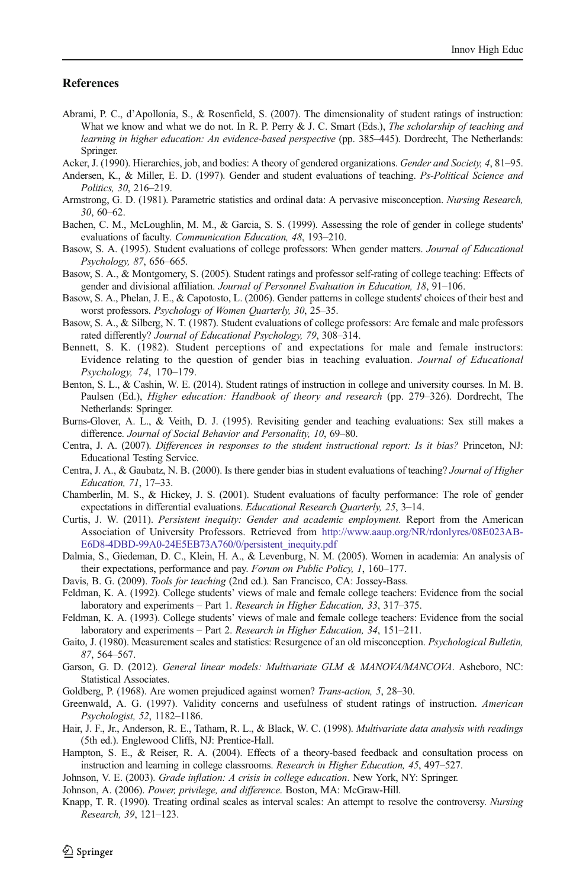#### <span id="page-11-0"></span>**References**

Abrami, P. C., d'Apollonia, S., & Rosenfield, S. (2007). The dimensionality of student ratings of instruction: What we know and what we do not. In R. P. Perry & J. C. Smart (Eds.), The scholarship of teaching and learning in higher education: An evidence-based perspective (pp. 385–445). Dordrecht, The Netherlands: Springer.

Acker, J. (1990). Hierarchies, job, and bodies: A theory of gendered organizations. Gender and Society, 4, 81–95.

- Andersen, K., & Miller, E. D. (1997). Gender and student evaluations of teaching. Ps-Political Science and Politics, 30, 216–219.
- Armstrong, G. D. (1981). Parametric statistics and ordinal data: A pervasive misconception. Nursing Research, 30, 60–62.
- Bachen, C. M., McLoughlin, M. M., & Garcia, S. S. (1999). Assessing the role of gender in college students' evaluations of faculty. Communication Education, 48, 193–210.
- Basow, S. A. (1995). Student evaluations of college professors: When gender matters. Journal of Educational Psychology, 87, 656–665.
- Basow, S. A., & Montgomery, S. (2005). Student ratings and professor self-rating of college teaching: Effects of gender and divisional affiliation. Journal of Personnel Evaluation in Education, 18, 91–106.
- Basow, S. A., Phelan, J. E., & Capotosto, L. (2006). Gender patterns in college students' choices of their best and worst professors. Psychology of Women Quarterly, 30, 25–35.
- Basow, S. A., & Silberg, N. T. (1987). Student evaluations of college professors: Are female and male professors rated differently? Journal of Educational Psychology, 79, 308–314.
- Bennett, S. K. (1982). Student perceptions of and expectations for male and female instructors: Evidence relating to the question of gender bias in teaching evaluation. Journal of Educational Psychology, 74, 170–179.
- Benton, S. L., & Cashin, W. E. (2014). Student ratings of instruction in college and university courses. In M. B. Paulsen (Ed.), Higher education: Handbook of theory and research (pp. 279–326). Dordrecht, The Netherlands: Springer.
- Burns-Glover, A. L., & Veith, D. J. (1995). Revisiting gender and teaching evaluations: Sex still makes a difference. Journal of Social Behavior and Personality, 10, 69–80.
- Centra, J. A. (2007). Differences in responses to the student instructional report: Is it bias? Princeton, NJ: Educational Testing Service.
- Centra, J. A., & Gaubatz, N. B. (2000). Is there gender bias in student evaluations of teaching? Journal of Higher Education, 71, 17–33.
- Chamberlin, M. S., & Hickey, J. S. (2001). Student evaluations of faculty performance: The role of gender expectations in differential evaluations. Educational Research Quarterly, 25, 3–14.
- Curtis, J. W. (2011). Persistent inequity: Gender and academic employment. Report from the American Association of University Professors. Retrieved from [http://www.aaup.org/NR/rdonlyres/08E023AB-](http://www.aaup.org/NR/rdonlyres/08E023AB-E6D8-4DBD-99A0-24E5EB73A760/0/persistent_inequity.pdf)[E6D8-4DBD-99A0-24E5EB73A760/0/persistent\\_inequity.pdf](http://www.aaup.org/NR/rdonlyres/08E023AB-E6D8-4DBD-99A0-24E5EB73A760/0/persistent_inequity.pdf)
- Dalmia, S., Giedeman, D. C., Klein, H. A., & Levenburg, N. M. (2005). Women in academia: An analysis of their expectations, performance and pay. Forum on Public Policy, 1, 160–177.
- Davis, B. G. (2009). Tools for teaching (2nd ed.). San Francisco, CA: Jossey-Bass.
- Feldman, K. A. (1992). College students' views of male and female college teachers: Evidence from the social laboratory and experiments – Part 1. Research in Higher Education, 33, 317–375.
- Feldman, K. A. (1993). College students' views of male and female college teachers: Evidence from the social laboratory and experiments – Part 2. Research in Higher Education, 34, 151–211.
- Gaito, J. (1980). Measurement scales and statistics: Resurgence of an old misconception. Psychological Bulletin, 87, 564–567.
- Garson, G. D. (2012). General linear models: Multivariate GLM & MANOVA/MANCOVA. Asheboro, NC: Statistical Associates.
- Goldberg, P. (1968). Are women prejudiced against women? Trans-action, 5, 28–30.
- Greenwald, A. G. (1997). Validity concerns and usefulness of student ratings of instruction. American Psychologist, 52, 1182–1186.
- Hair, J. F., Jr., Anderson, R. E., Tatham, R. L., & Black, W. C. (1998). Multivariate data analysis with readings (5th ed.). Englewood Cliffs, NJ: Prentice-Hall.
- Hampton, S. E., & Reiser, R. A. (2004). Effects of a theory-based feedback and consultation process on instruction and learning in college classrooms. Research in Higher Education, 45, 497–527.
- Johnson, V. E. (2003). Grade inflation: A crisis in college education. New York, NY: Springer.

Johnson, A. (2006). Power, privilege, and difference. Boston, MA: McGraw-Hill.

Knapp, T. R. (1990). Treating ordinal scales as interval scales: An attempt to resolve the controversy. Nursing Research, 39, 121–123.